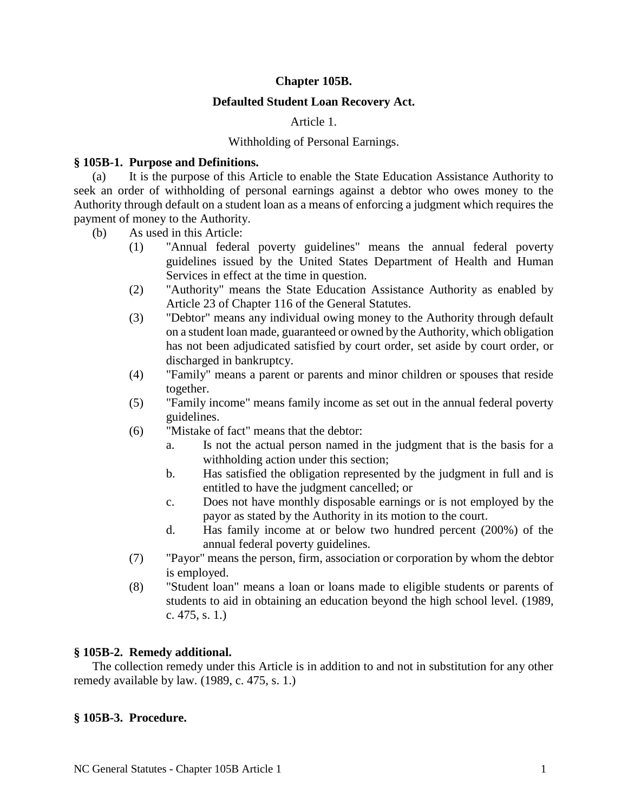# **Chapter 105B.**

## **Defaulted Student Loan Recovery Act.**

## Article 1.

## Withholding of Personal Earnings.

## **§ 105B-1. Purpose and Definitions.**

(a) It is the purpose of this Article to enable the State Education Assistance Authority to seek an order of withholding of personal earnings against a debtor who owes money to the Authority through default on a student loan as a means of enforcing a judgment which requires the payment of money to the Authority.

- (b) As used in this Article:
	- (1) "Annual federal poverty guidelines" means the annual federal poverty guidelines issued by the United States Department of Health and Human Services in effect at the time in question.
	- (2) "Authority" means the State Education Assistance Authority as enabled by Article 23 of Chapter 116 of the General Statutes.
	- (3) "Debtor" means any individual owing money to the Authority through default on a student loan made, guaranteed or owned by the Authority, which obligation has not been adjudicated satisfied by court order, set aside by court order, or discharged in bankruptcy.
	- (4) "Family" means a parent or parents and minor children or spouses that reside together.
	- (5) "Family income" means family income as set out in the annual federal poverty guidelines.
	- (6) "Mistake of fact" means that the debtor:
		- a. Is not the actual person named in the judgment that is the basis for a withholding action under this section;
		- b. Has satisfied the obligation represented by the judgment in full and is entitled to have the judgment cancelled; or
		- c. Does not have monthly disposable earnings or is not employed by the payor as stated by the Authority in its motion to the court.
		- d. Has family income at or below two hundred percent (200%) of the annual federal poverty guidelines.
	- (7) "Payor" means the person, firm, association or corporation by whom the debtor is employed.
	- (8) "Student loan" means a loan or loans made to eligible students or parents of students to aid in obtaining an education beyond the high school level. (1989, c. 475, s. 1.)

# **§ 105B-2. Remedy additional.**

The collection remedy under this Article is in addition to and not in substitution for any other remedy available by law. (1989, c. 475, s. 1.)

### **§ 105B-3. Procedure.**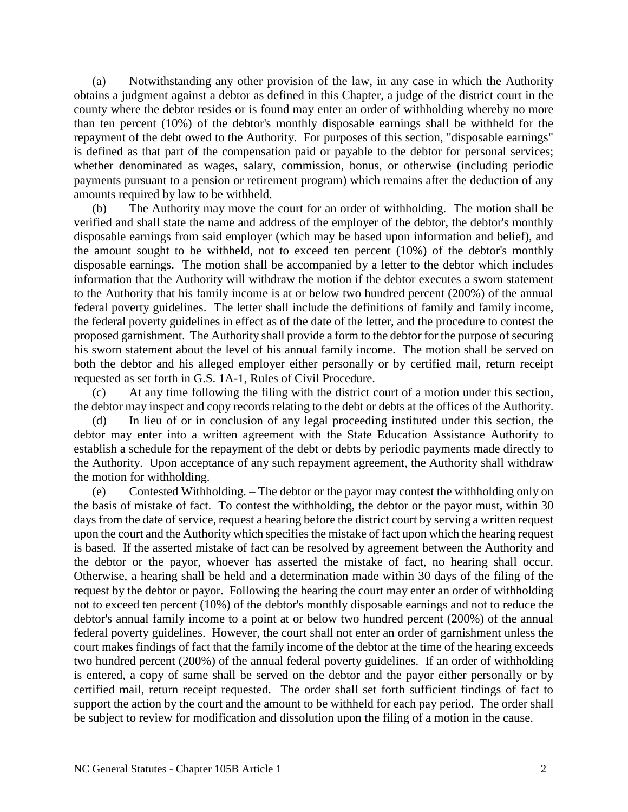(a) Notwithstanding any other provision of the law, in any case in which the Authority obtains a judgment against a debtor as defined in this Chapter, a judge of the district court in the county where the debtor resides or is found may enter an order of withholding whereby no more than ten percent (10%) of the debtor's monthly disposable earnings shall be withheld for the repayment of the debt owed to the Authority. For purposes of this section, "disposable earnings" is defined as that part of the compensation paid or payable to the debtor for personal services; whether denominated as wages, salary, commission, bonus, or otherwise (including periodic payments pursuant to a pension or retirement program) which remains after the deduction of any amounts required by law to be withheld.

(b) The Authority may move the court for an order of withholding. The motion shall be verified and shall state the name and address of the employer of the debtor, the debtor's monthly disposable earnings from said employer (which may be based upon information and belief), and the amount sought to be withheld, not to exceed ten percent (10%) of the debtor's monthly disposable earnings. The motion shall be accompanied by a letter to the debtor which includes information that the Authority will withdraw the motion if the debtor executes a sworn statement to the Authority that his family income is at or below two hundred percent (200%) of the annual federal poverty guidelines. The letter shall include the definitions of family and family income, the federal poverty guidelines in effect as of the date of the letter, and the procedure to contest the proposed garnishment. The Authority shall provide a form to the debtor for the purpose of securing his sworn statement about the level of his annual family income. The motion shall be served on both the debtor and his alleged employer either personally or by certified mail, return receipt requested as set forth in G.S. 1A-1, Rules of Civil Procedure.

(c) At any time following the filing with the district court of a motion under this section, the debtor may inspect and copy records relating to the debt or debts at the offices of the Authority.

(d) In lieu of or in conclusion of any legal proceeding instituted under this section, the debtor may enter into a written agreement with the State Education Assistance Authority to establish a schedule for the repayment of the debt or debts by periodic payments made directly to the Authority. Upon acceptance of any such repayment agreement, the Authority shall withdraw the motion for withholding.

(e) Contested Withholding. – The debtor or the payor may contest the withholding only on the basis of mistake of fact. To contest the withholding, the debtor or the payor must, within 30 days from the date of service, request a hearing before the district court by serving a written request upon the court and the Authority which specifies the mistake of fact upon which the hearing request is based. If the asserted mistake of fact can be resolved by agreement between the Authority and the debtor or the payor, whoever has asserted the mistake of fact, no hearing shall occur. Otherwise, a hearing shall be held and a determination made within 30 days of the filing of the request by the debtor or payor. Following the hearing the court may enter an order of withholding not to exceed ten percent (10%) of the debtor's monthly disposable earnings and not to reduce the debtor's annual family income to a point at or below two hundred percent (200%) of the annual federal poverty guidelines. However, the court shall not enter an order of garnishment unless the court makes findings of fact that the family income of the debtor at the time of the hearing exceeds two hundred percent (200%) of the annual federal poverty guidelines. If an order of withholding is entered, a copy of same shall be served on the debtor and the payor either personally or by certified mail, return receipt requested. The order shall set forth sufficient findings of fact to support the action by the court and the amount to be withheld for each pay period. The order shall be subject to review for modification and dissolution upon the filing of a motion in the cause.